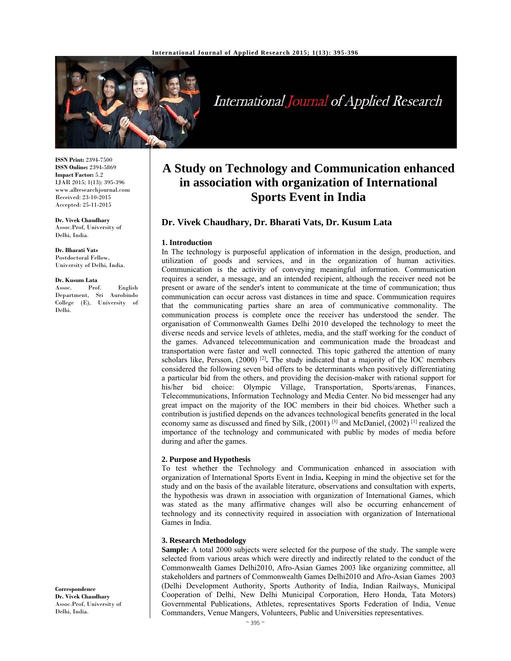

# International Journal of Applied Research

**ISSN Print:** 2394-7500 **ISSN Online:** 2394-5869 **Impact Factor:** 5.2 IJAR 2015; 1(13): 395-396 www.allresearchjournal.com Received: 23-10-2015 Accepted: 25-11-2015

**Dr. Vivek Chaudhary**  Assoc.Prof, University of Delhi, India.

**Dr. Bharati Vats**  Postdoctoral Fellow, University of Delhi, India.

#### **Dr. Kusum Lata**

Assoc. Prof. English Department, Sri Aurobindo College (E), University of Delhi.

**Correspondence Dr. Vivek Chaudhary**  Assoc.Prof, University of Delhi, India.

## **A Study on Technology and Communication enhanced in association with organization of International Sports Event in India**

## **Dr. Vivek Chaudhary, Dr. Bharati Vats, Dr. Kusum Lata**

#### **1. Introduction**

In The technology is purposeful application of information in the design, production, and utilization of goods and services, and in the organization of human activities. Communication is the activity of conveying meaningful information. Communication requires a sender, a message, and an intended recipient, although the receiver need not be present or aware of the sender's intent to communicate at the time of communication; thus communication can occur across vast distances in time and space. Communication requires that the communicating parties share an area of communicative commonality. The communication process is complete once the receiver has understood the sender. The organisation of Commonwealth Games Delhi 2010 developed the technology to meet the diverse needs and service levels of athletes, media, and the staff working for the conduct of the games. Advanced telecommunication and communication made the broadcast and transportation were faster and well connected. This topic gathered the attention of many scholars like, Persson, (2000) [2]**.** The study indicated that a majority of the IOC members considered the following seven bid offers to be determinants when positively differentiating a particular bid from the others, and providing the decision-maker with rational support for his/her bid choice: Olympic Village, Transportation, Sports/arenas, Finances, Telecommunications, Information Technology and Media Center. No bid messenger had any great impact on the majority of the IOC members in their bid choices. Whether such a contribution is justified depends on the advances technological benefits generated in the local economy same as discussed and fined by Silk,  $(2001)$ <sup>[3]</sup> and McDaniel,  $(2002)$ <sup>[1]</sup> realized the importance of the technology and communicated with public by modes of media before during and after the games.

#### **2. Purpose and Hypothesis**

To test whether the Technology and Communication enhanced in association with organization of International Sports Event in India**.** Keeping in mind the objective set for the study and on the basis of the available literature, observations and consultation with experts, the hypothesis was drawn in association with organization of International Games, which was stated as the many affirmative changes will also be occurring enhancement of technology and its connectivity required in association with organization of International Games in India.

#### **3. Research Methodology**

**Sample:** A total 2000 subjects were selected for the purpose of the study. The sample were selected from various areas which were directly and indirectly related to the conduct of the Commonwealth Games Delhi2010, Afro-Asian Games 2003 like organizing committee, all stakeholders and partners of Commonwealth Games Delhi2010 and Afro-Asian Games 2003 (Delhi Development Authority, Sports Authority of India, Indian Railways, Municipal Cooperation of Delhi, New Delhi Municipal Corporation, Hero Honda, Tata Motors) Governmental Publications, Athletes, representatives Sports Federation of India, Venue Commanders, Venue Mangers, Volunteers, Public and Universities representatives.